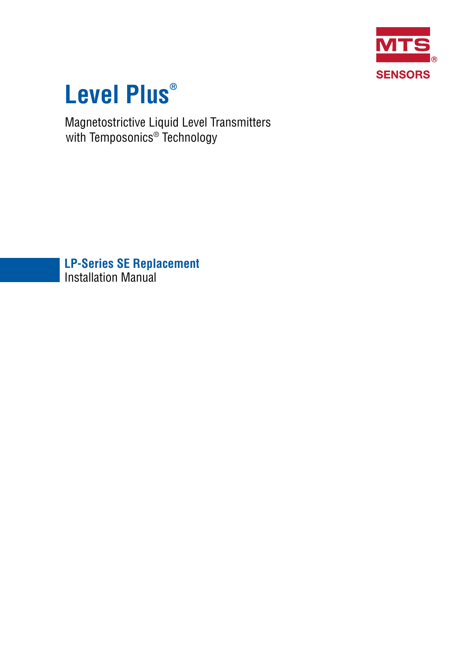

# **Level Plus®**

Magnetostrictive Liquid Level Transmitters with Temposonics® Technology

**LP-Series SE Replacement** Installation Manual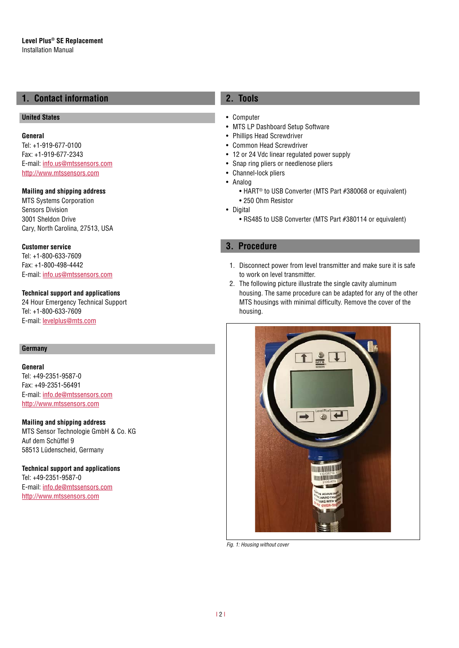# **1. Contact information**

# **United States**

**General** Tel: +1-919-677-0100 Fax: +1-919-677-2343 E-mail: [info.us@mtssensors.com](mailto:info.us%40mtssensors.com?subject=More%20info) <http://www.mtssensors.com>

## **Mailing and shipping address**

MTS Systems Corporation Sensors Division 3001 Sheldon Drive Cary, North Carolina, 27513, USA

**Customer service** Tel: +1-800-633-7609 Fax: +1-800-498-4442 E-mail: [info.us@mtssensors.com](mailto:info.us@mtssensors.com)

### **Technical support and applications**

24 Hour Emergency Technical Support Tel: +1-800-633-7609 E-mail: [levelplus@mts.com](mailto:levelplus%40mts.com?subject=Level%20plus%20info)

#### **Germany**

#### **General**

Tel: +49-2351-9587-0 Fax: +49-2351-56491 E-mail: [info.de@mtssensors.com](mailto:info.de%40mtssensors.com?subject=More%20info) <http://www.mtssensors.com>

#### **Mailing and shipping address**

MTS Sensor Technologie GmbH & Co. KG Auf dem Schüffel 9 58513 Lüdenscheid, Germany

## **Technical support and applications**

Tel: +49-2351-9587-0 E-mail: [info.de@mtssensors.com](mailto:info.de%40mtssensors.com?subject=More%20info) <http://www.mtssensors.com>

# **2. Tools**

- Computer
- MTS LP Dashboard Setup Software
- Phillips Head Screwdriver
- Common Head Screwdriver
- 12 or 24 Vdc linear regulated power supply
- Snap ring pliers or needlenose pliers
- Channel-lock pliers
- Analog
	- HART® to USB Converter (MTS Part #380068 or equivalent)
- 250 Ohm Resistor
- Digital
	- RS485 to USB Converter (MTS Part #380114 or equivalent)

## **3. Procedure**

- 1. Disconnect power from level transmitter and make sure it is safe to work on level transmitter.
- 2. The following picture illustrate the single cavity aluminum housing. The same procedure can be adapted for any of the other MTS housings with minimal difficulty. Remove the cover of the housing.



*Fig. 1: Housing without cover*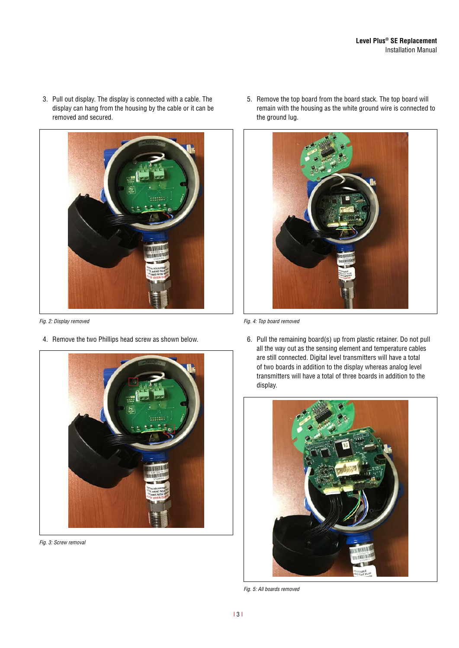3. Pull out display. The display is connected with a cable. The display can hang from the housing by the cable or it can be removed and secured.



4. Remove the two Phillips head screw as shown below.



*Fig. 3: Screw removal*

5. Remove the top board from the board stack. The top board will remain with the housing as the white ground wire is connected to the ground lug.



*Fig. 2: Display removed Fig. 4: Top board removed*

6. Pull the remaining board(s) up from plastic retainer. Do not pull all the way out as the sensing element and temperature cables are still connected. Digital level transmitters will have a total of two boards in addition to the display whereas analog level transmitters will have a total of three boards in addition to the display.



*Fig. 5: All boards removed*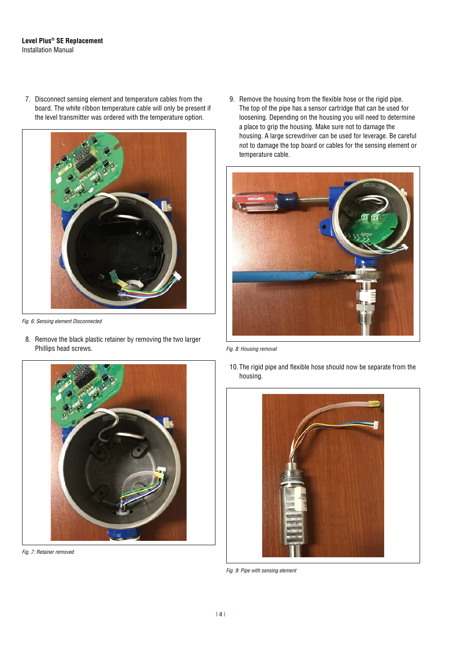#### **Level Plus® SE Replacement** Installation Manual

7. Disconnect sensing element and temperature cables from the board. The white ribbon temperature cable will only be present if the level transmitter was ordered with the temperature option.



*Fig. 6: Sensing element Disconnected*

8. Remove the black plastic retainer by removing the two larger Phillips head screws.



*Fig. 7: Retainer removed*

9. Remove the housing from the flexible hose or the rigid pipe. The top of the pipe has a sensor cartridge that can be used for loosening. Depending on the housing you will need to determine a place to grip the housing. Make sure not to damage the housing. A large screwdriver can be used for leverage. Be careful not to damage the top board or cables for the sensing element or temperature cable.



*Fig. 8: Housing removal*

10. The rigid pipe and flexible hose should now be separate from the housing.



*Fig. 9: Pipe with sensing element*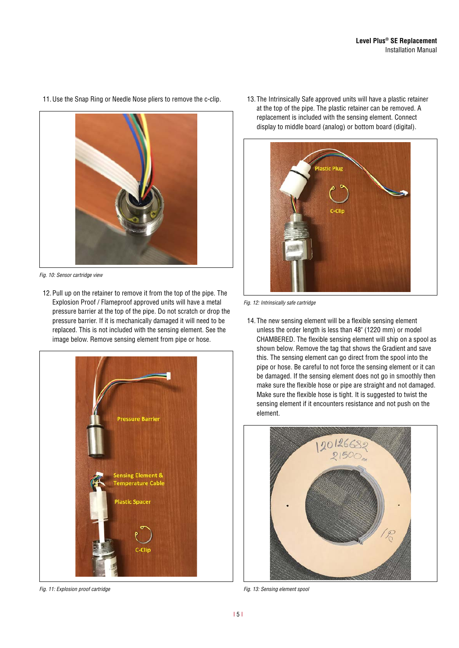

*Fig. 10: Sensor cartridge view*

12. Pull up on the retainer to remove it from the top of the pipe. The Explosion Proof / Flameproof approved units will have a metal pressure barrier at the top of the pipe. Do not scratch or drop the pressure barrier. If it is mechanically damaged it will need to be replaced. This is not included with the sensing element. See the image below. Remove sensing element from pipe or hose.



*Fig. 11: Explosion proof cartridge Fig. 13: Sensing element spool*

13. The Intrinsically Safe approved units will have a plastic retainer at the top of the pipe. The plastic retainer can be removed. A replacement is included with the sensing element. Connect display to middle board (analog) or bottom board (digital).



*Fig. 12: Intrinsically safe cartridge*

14. The new sensing element will be a flexible sensing element unless the order length is less than 48" (1220 mm) or model CHAMBERED. The flexible sensing element will ship on a spool as shown below. Remove the tag that shows the Gradient and save this. The sensing element can go direct from the spool into the pipe or hose. Be careful to not force the sensing element or it can be damaged. If the sensing element does not go in smoothly then make sure the flexible hose or pipe are straight and not damaged. Make sure the flexible hose is tight. It is suggested to twist the sensing element if it encounters resistance and not push on the element.



11.Use the Snap Ring or Needle Nose pliers to remove the c-clip.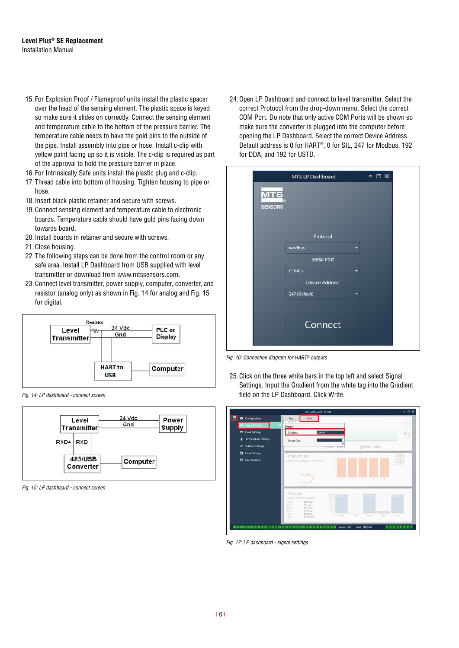- 15. For Explosion Proof / Flameproof units install the plastic spacer over the head of the sensing element. The plastic space is keyed so make sure it slides on correctly. Connect the sensing element and temperature cable to the bottom of the pressure barrier. The temperature cable needs to have the gold pins to the outside of the pipe. Install assembly into pipe or hose. Install c-clip with yellow paint facing up so it is visible. The c-clip is required as part of the approval to hold the pressure barrier in place.
- 16. For Intrinsically Safe units install the plastic plug and c-clip.
- 17. Thread cable into bottom of housing. Tighten housing to pipe or hose.
- 18. Insert black plastic retainer and secure with screws.
- 19. Connect sensing element and temperature cable to electronic boards. Temperature cable should have gold pins facing down towards board.
- 20. Install boards in retainer and secure with screws.
- 21. Close housing.
- 22. The following steps can be done from the control room or any safe area. Install LP Dashboard from USB supplied with level transmitter or download from www.mtssensors.com.
- 23. Connect level transmitter, power supply, computer, converter, and resistor (analog only) as shown in [Fig. 14](#page-5-0) for analog and [Fig. 15](#page-5-1)  for digital.



<span id="page-5-0"></span>*Fig. 14: LP dashboard - connect screen*



<span id="page-5-1"></span>*Fig. 15: LP dashboard - connect screen*

24.Open LP Dashboard and connect to level transmitter. Select the correct Protocol from the drop-down menu. Select the correct COM Port. Do note that only active COM Ports will be shown so make sure the converter is plugged into the computer before opening the LP Dashboard. Select the correct Device Address. Default address is 0 for HART®, 0 for SIL, 247 for Modbus, 192 for DDA, and 192 for USTD.

|                      | MTS LP Dashboard      |   | $\blacksquare$<br>口因 |  |
|----------------------|-----------------------|---|----------------------|--|
| MT<br><b>SENSORS</b> |                       |   |                      |  |
|                      | Protocol              |   |                      |  |
|                      | <b>Modbus</b>         | ۰ |                      |  |
|                      | <b>Serial Port</b>    |   |                      |  |
|                      | COM12                 |   |                      |  |
|                      | <b>Device Address</b> |   |                      |  |
|                      | 247 (Default)         |   |                      |  |
|                      |                       |   |                      |  |
|                      | Connect               |   |                      |  |

*Fig. 16: Connection diagram for HART® outputs*

25. Click on the three white bars in the top left and select Signal Settings. Input the Gradient from the white tag into the Gradient field on the LP Dashboard. Click Write.



*Fig. 17: LP dashboard - signal settings*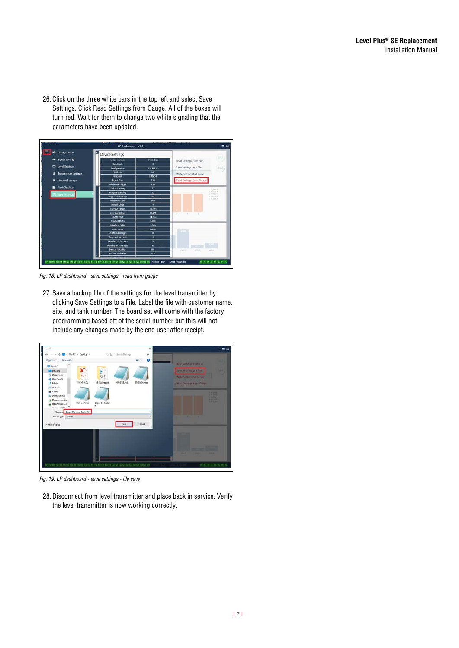26. Click on the three white bars in the top left and select Save Settings. Click Read Settings from Gauge. All of the boxes will turn red. Wait for them to change two white signaling that the parameters have been updated.

| <b>Configuration</b><br>۰                          | $\blacksquare$<br><b>Device Settings</b> |                         |                          |                             |
|----------------------------------------------------|------------------------------------------|-------------------------|--------------------------|-----------------------------|
|                                                    |                                          |                         |                          | 583                         |
| * Signal Settings                                  | <b>Serial Nomber</b>                     | 91054466                | Read Settings from File  |                             |
| <b>D</b> Level Settings                            | <b>Band Rote</b>                         | ٠                       |                          |                             |
|                                                    | <b>Configuration</b>                     | 15210012                | Save Settings to a File  | 365                         |
| <b>Temperature Settings</b>                        | <b>Address</b>                           | M                       | Write Settings to Gauge  |                             |
|                                                    | Gradient                                 | 9.06859                 |                          |                             |
| <b>Volume Settings</b><br>÷                        | <b>Signal Gain</b>                       | 255                     | Read Settings from Gauge |                             |
|                                                    | Minimum Trigger                          | 150                     |                          |                             |
| <b>Flash Settings</b><br>в<br><b>Save Settings</b> | <b>SARA Blanking</b>                     | $\overline{\mathbf{z}}$ |                          | $+ 30.3464.7$               |
|                                                    | <b>Magnet Blanking</b>                   | $\overline{D}$          |                          | 1.7522011<br>31 TO 244 L.F. |
|                                                    | <b>Triciger Descentage</b>               | 60                      |                          | a rootes F<br>ai nopascir   |
|                                                    | <b>Threshold Delta</b>                   | 100                     |                          |                             |
|                                                    | Length Units                             | ٠                       |                          |                             |
|                                                    | <b>Product Offset</b>                    | 31,078                  |                          |                             |
|                                                    | Interface Offset                         | 31.071                  |                          |                             |
|                                                    | <b>Roof Officer</b>                      | 24,669                  |                          |                             |
|                                                    | Product Dolts                            | 2,300                   |                          |                             |
|                                                    | Interface Delta                          | 2,200                   |                          |                             |
|                                                    | <b>Roof Delta</b>                        | 2200                    |                          |                             |
|                                                    | <b>Foshen Averages</b>                   | $\bullet$               |                          |                             |
|                                                    | <b>Temperature Units</b>                 | ٠                       |                          |                             |
|                                                    | Number of Sensors                        | 3                       |                          |                             |
|                                                    | <b>Number of Averages</b>                | 10                      |                          |                             |
|                                                    | Sensor I Position                        | 80                      | cont<br>covi             | <b>NOVA</b>                 |
|                                                    | <b>Sancer 3 Rockion</b>                  | 110                     |                          |                             |
|                                                    |                                          |                         |                          |                             |

*Fig. 18: LP dashboard - save settings - read from gauge*

27. Save a backup file of the settings for the level transmitter by clicking Save Settings to a File. Label the file with customer name, site, and tank number. The board set will come with the factory programming based off of the serial number but this will not include any changes made by the end user after receipt.

| Save As<br>$\times$                                                                                                                                         | $= 7.5$                                                                                       |
|-------------------------------------------------------------------------------------------------------------------------------------------------------------|-----------------------------------------------------------------------------------------------|
| > This PC > Desktop +<br>Stanb Delma<br>ø<br>$\omega$ (f)<br>$\bullet$<br>$\mathbb{Z}$ .<br>New folder<br>Organize -<br><b>CITY This PC</b><br>Desitop<br>ą | <b>Riad Simings from File</b><br>Save Settings to a Fift                                      |
| <b>D</b> ecuments<br><b>SSE</b><br><b>J.</b> Deuniosch<br>FM XP CDL<br>M & Lalreport<br>90939135.mds<br>\$103000S.mds<br>3 Marie<br><b>ALL Pictures</b>     | Write Settings In Taxan<br>Pined Settings worn Cough                                          |
| <b>R</b> Videos<br><b>12 Wedews (C)</b><br>Department Sto<br>91031219.mds<br>Bright_St_Test.mt<br><b>T DIAVAGE NAM</b><br><b>ALE ALE AREA BASE</b>          | 1.01.0000.0<br><b>A BERRIA</b><br><b>CALIFORNIA</b><br><b>A RETAILS</b><br><b>NEW CARPENT</b> |
| Flemme Euse Baytown Tank105<br>Seve as type: ("mds)<br>Cancel<br><b>Hide Folders</b>                                                                        |                                                                                               |
|                                                                                                                                                             |                                                                                               |
|                                                                                                                                                             | --                                                                                            |
| THE THE THE REAL REAL CORPORATION OF THE REAL COUPLE THE THE REAL PROPERTY OF CALL REAL REAL REAL REAL PROPERTY AND SIDE OF                                 | BOTH COMPANY OF THE PARTY OF                                                                  |

*Fig. 19: LP dashboard - save settings - file save*

28.Disconnect from level transmitter and place back in service. Verify the level transmitter is now working correctly.